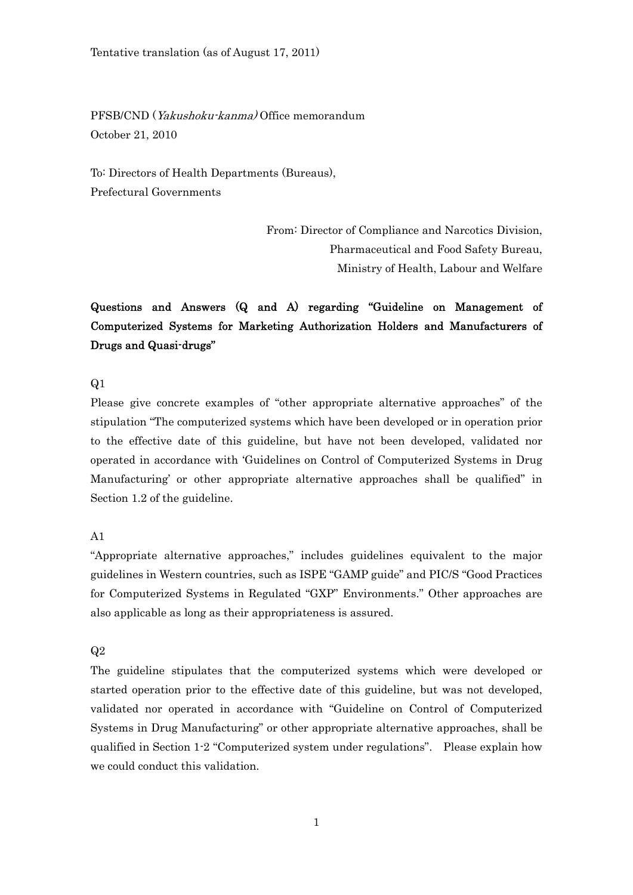PFSB/CND (Yakushoku-kanma) Office memorandum October 21, 2010

To: Directors of Health Departments (Bureaus), Prefectural Governments

> From: Director of Compliance and Narcotics Division, Pharmaceutical and Food Safety Bureau, Ministry of Health, Labour and Welfare

# Questions and Answers (Q and A) regarding "Guideline on Management of Computerized Systems for Marketing Authorization Holders and Manufacturers of Drugs and Quasi-drugs"

Q1

Please give concrete examples of "other appropriate alternative approaches" of the stipulation "The computerized systems which have been developed or in operation prior to the effective date of this guideline, but have not been developed, validated nor operated in accordance with 'Guidelines on Control of Computerized Systems in Drug Manufacturing' or other appropriate alternative approaches shall be qualified" in Section 1.2 of the guideline.

A1

"Appropriate alternative approaches," includes guidelines equivalent to the major guidelines in Western countries, such as ISPE "GAMP guide" and PIC/S "Good Practices for Computerized Systems in Regulated "GXP" Environments." Other approaches are also applicable as long as their appropriateness is assured.

Q2

The guideline stipulates that the computerized systems which were developed or started operation prior to the effective date of this guideline, but was not developed, validated nor operated in accordance with "Guideline on Control of Computerized Systems in Drug Manufacturing" or other appropriate alternative approaches, shall be qualified in Section 1-2 "Computerized system under regulations". Please explain how we could conduct this validation.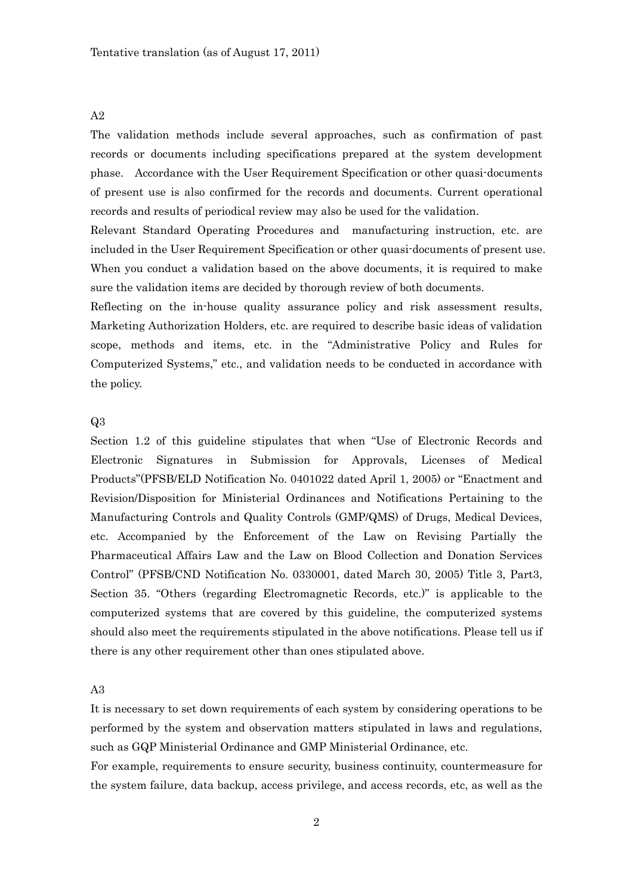The validation methods include several approaches, such as confirmation of past records or documents including specifications prepared at the system development phase. Accordance with the User Requirement Specification or other quasi-documents of present use is also confirmed for the records and documents. Current operational records and results of periodical review may also be used for the validation.

Relevant Standard Operating Procedures and manufacturing instruction, etc. are included in the User Requirement Specification or other quasi-documents of present use. When you conduct a validation based on the above documents, it is required to make sure the validation items are decided by thorough review of both documents.

Reflecting on the in-house quality assurance policy and risk assessment results, Marketing Authorization Holders, etc. are required to describe basic ideas of validation scope, methods and items, etc. in the "Administrative Policy and Rules for Computerized Systems," etc., and validation needs to be conducted in accordance with the policy.

#### Q3

Section 1.2 of this guideline stipulates that when "Use of Electronic Records and Electronic Signatures in Submission for Approvals, Licenses of Medical Products"(PFSB/ELD Notification No. 0401022 dated April 1, 2005) or "Enactment and Revision/Disposition for Ministerial Ordinances and Notifications Pertaining to the Manufacturing Controls and Quality Controls (GMP/QMS) of Drugs, Medical Devices, etc. Accompanied by the Enforcement of the Law on Revising Partially the Pharmaceutical Affairs Law and the Law on Blood Collection and Donation Services Control" (PFSB/CND Notification No. 0330001, dated March 30, 2005) Title 3, Part3, Section 35. "Others (regarding Electromagnetic Records, etc.)" is applicable to the computerized systems that are covered by this guideline, the computerized systems should also meet the requirements stipulated in the above notifications. Please tell us if there is any other requirement other than ones stipulated above.

#### A3

It is necessary to set down requirements of each system by considering operations to be performed by the system and observation matters stipulated in laws and regulations, such as GQP Ministerial Ordinance and GMP Ministerial Ordinance, etc.

For example, requirements to ensure security, business continuity, countermeasure for the system failure, data backup, access privilege, and access records, etc, as well as the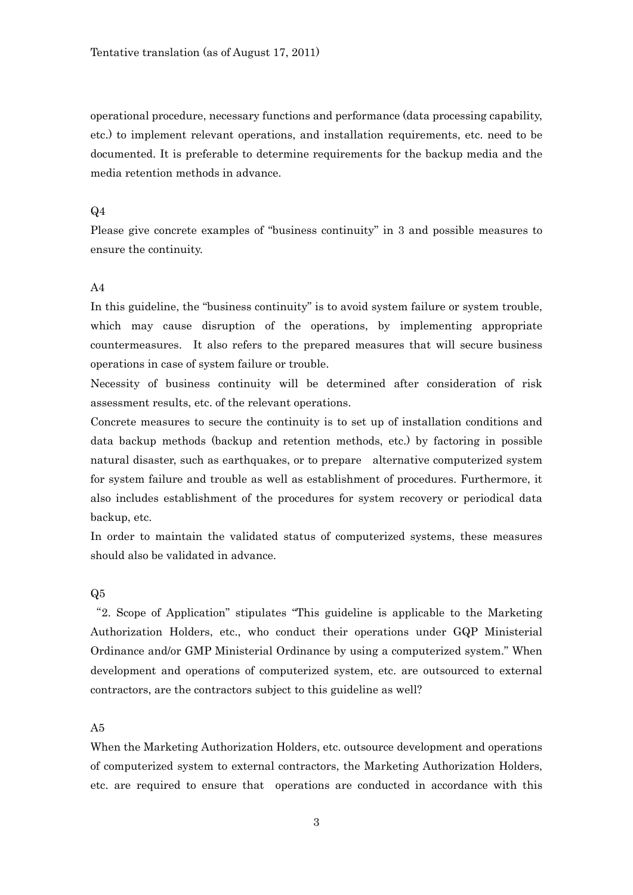operational procedure, necessary functions and performance (data processing capability, etc.) to implement relevant operations, and installation requirements, etc. need to be documented. It is preferable to determine requirements for the backup media and the media retention methods in advance.

### $Q<sub>4</sub>$

Please give concrete examples of "business continuity" in 3 and possible measures to ensure the continuity.

#### $A<sub>4</sub>$

In this guideline, the "business continuity" is to avoid system failure or system trouble, which may cause disruption of the operations, by implementing appropriate countermeasures. It also refers to the prepared measures that will secure business operations in case of system failure or trouble.

Necessity of business continuity will be determined after consideration of risk assessment results, etc. of the relevant operations.

Concrete measures to secure the continuity is to set up of installation conditions and data backup methods (backup and retention methods, etc.) by factoring in possible natural disaster, such as earthquakes, or to prepare alternative computerized system for system failure and trouble as well as establishment of procedures. Furthermore, it also includes establishment of the procedures for system recovery or periodical data backup, etc.

In order to maintain the validated status of computerized systems, these measures should also be validated in advance.

#### Q5

"2. Scope of Application" stipulates "This guideline is applicable to the Marketing Authorization Holders, etc., who conduct their operations under GQP Ministerial Ordinance and/or GMP Ministerial Ordinance by using a computerized system." When development and operations of computerized system, etc. are outsourced to external contractors, are the contractors subject to this guideline as well?

# A5

When the Marketing Authorization Holders, etc. outsource development and operations of computerized system to external contractors, the Marketing Authorization Holders, etc. are required to ensure that operations are conducted in accordance with this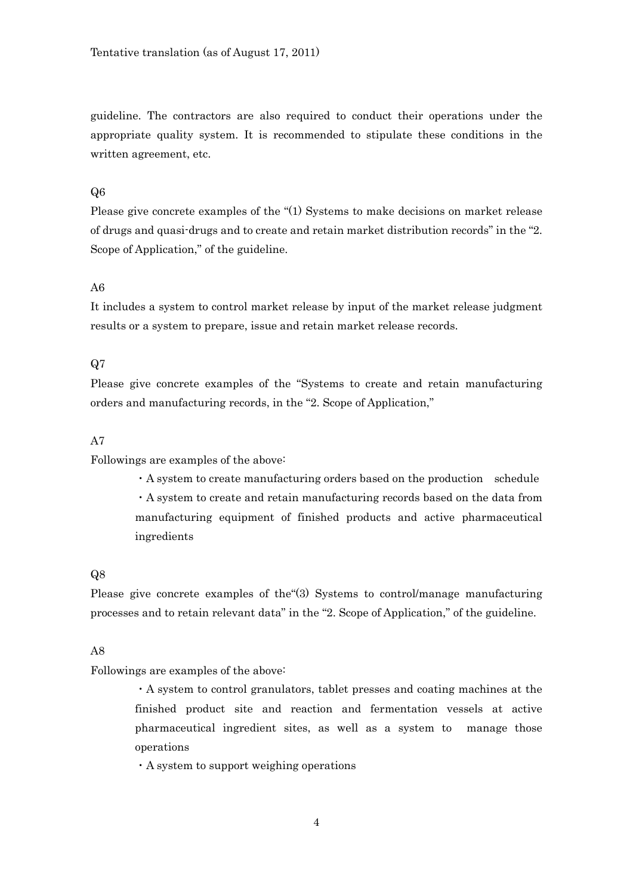guideline. The contractors are also required to conduct their operations under the appropriate quality system. It is recommended to stipulate these conditions in the written agreement, etc.

# Q6

Please give concrete examples of the "(1) Systems to make decisions on market release of drugs and quasi-drugs and to create and retain market distribution records" in the "2. Scope of Application," of the guideline.

# A6

It includes a system to control market release by input of the market release judgment results or a system to prepare, issue and retain market release records.

# Q7

Please give concrete examples of the "Systems to create and retain manufacturing orders and manufacturing records, in the "2. Scope of Application,"

# A7

Followings are examples of the above:

・A system to create manufacturing orders based on the production schedule ・A system to create and retain manufacturing records based on the data from manufacturing equipment of finished products and active pharmaceutical ingredients

#### Q8

Please give concrete examples of the"(3) Systems to control/manage manufacturing processes and to retain relevant data" in the "2. Scope of Application," of the guideline.

#### A8

Followings are examples of the above:

・A system to control granulators, tablet presses and coating machines at the finished product site and reaction and fermentation vessels at active pharmaceutical ingredient sites, as well as a system to manage those operations

・A system to support weighing operations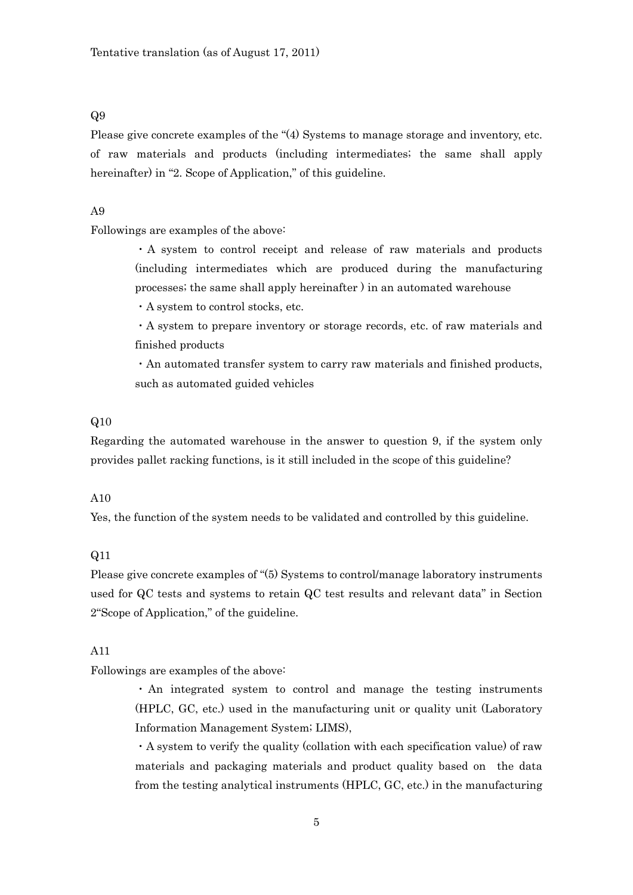Please give concrete examples of the "(4) Systems to manage storage and inventory, etc. of raw materials and products (including intermediates; the same shall apply hereinafter) in "2. Scope of Application," of this guideline.

# A9

Followings are examples of the above:

・A system to control receipt and release of raw materials and products (including intermediates which are produced during the manufacturing processes; the same shall apply hereinafter ) in an automated warehouse

・A system to control stocks, etc.

・A system to prepare inventory or storage records, etc. of raw materials and finished products

・An automated transfer system to carry raw materials and finished products, such as automated guided vehicles

#### Q10

Regarding the automated warehouse in the answer to question 9, if the system only provides pallet racking functions, is it still included in the scope of this guideline?

#### A10

Yes, the function of the system needs to be validated and controlled by this guideline.

### Q11

Please give concrete examples of "(5) Systems to control/manage laboratory instruments used for QC tests and systems to retain QC test results and relevant data" in Section 2"Scope of Application," of the guideline.

### A11

Followings are examples of the above:

・ An integrated system to control and manage the testing instruments (HPLC, GC, etc.) used in the manufacturing unit or quality unit (Laboratory Information Management System; LIMS),

・A system to verify the quality (collation with each specification value) of raw materials and packaging materials and product quality based on the data from the testing analytical instruments (HPLC, GC, etc.) in the manufacturing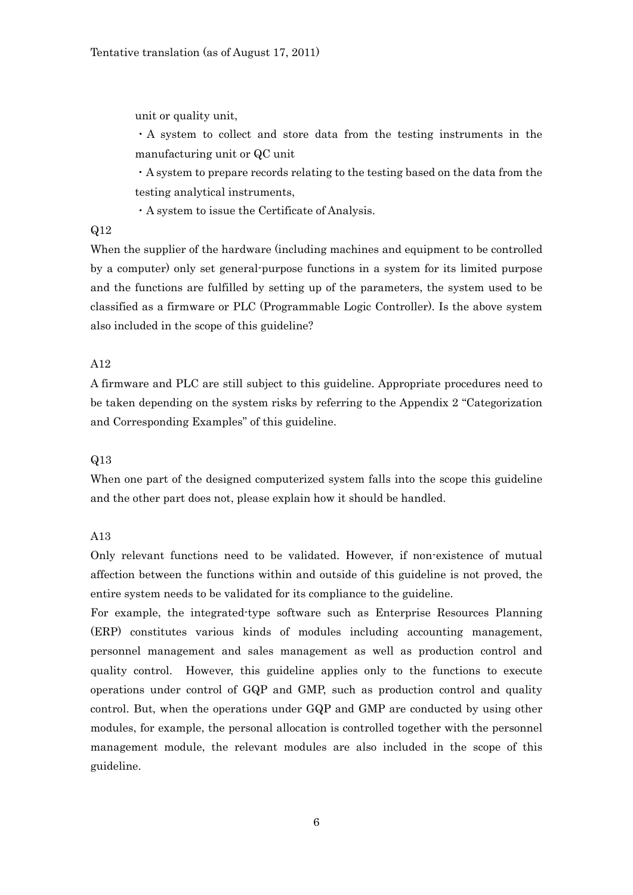unit or quality unit,

・A system to collect and store data from the testing instruments in the manufacturing unit or QC unit

・A system to prepare records relating to the testing based on the data from the testing analytical instruments,

・A system to issue the Certificate of Analysis.

# Q12

When the supplier of the hardware (including machines and equipment to be controlled by a computer) only set general-purpose functions in a system for its limited purpose and the functions are fulfilled by setting up of the parameters, the system used to be classified as a firmware or PLC (Programmable Logic Controller). Is the above system also included in the scope of this guideline?

### A12

A firmware and PLC are still subject to this guideline. Appropriate procedures need to be taken depending on the system risks by referring to the Appendix 2 "Categorization and Corresponding Examples" of this guideline.

# Q13

When one part of the designed computerized system falls into the scope this guideline and the other part does not, please explain how it should be handled.

#### A13

Only relevant functions need to be validated. However, if non-existence of mutual affection between the functions within and outside of this guideline is not proved, the entire system needs to be validated for its compliance to the guideline.

For example, the integrated-type software such as Enterprise Resources Planning (ERP) constitutes various kinds of modules including accounting management, personnel management and sales management as well as production control and quality control. However, this guideline applies only to the functions to execute operations under control of GQP and GMP, such as production control and quality control. But, when the operations under GQP and GMP are conducted by using other modules, for example, the personal allocation is controlled together with the personnel management module, the relevant modules are also included in the scope of this guideline.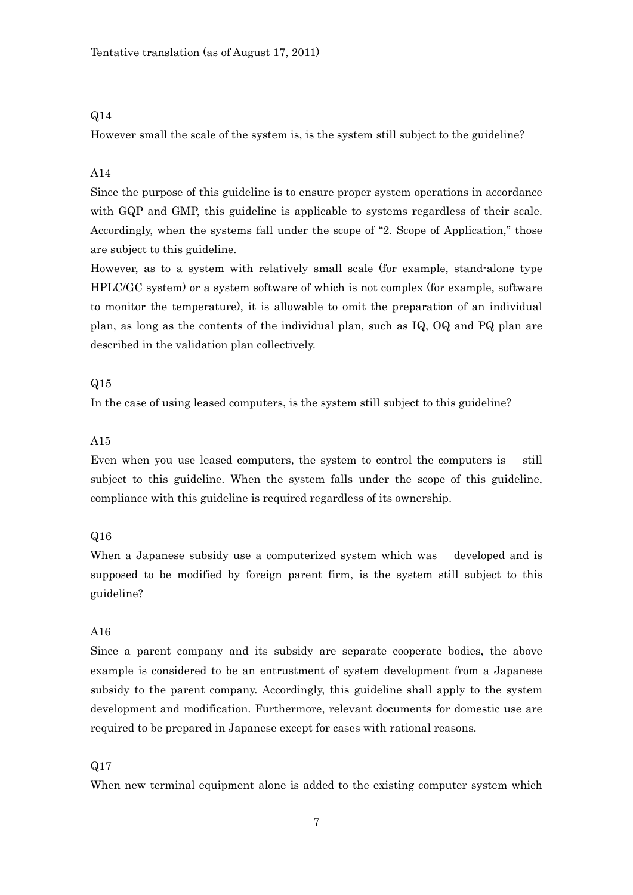However small the scale of the system is, is the system still subject to the guideline?

# A14

Since the purpose of this guideline is to ensure proper system operations in accordance with GQP and GMP, this guideline is applicable to systems regardless of their scale. Accordingly, when the systems fall under the scope of "2. Scope of Application," those are subject to this guideline.

However, as to a system with relatively small scale (for example, stand-alone type HPLC/GC system) or a system software of which is not complex (for example, software to monitor the temperature), it is allowable to omit the preparation of an individual plan, as long as the contents of the individual plan, such as IQ, OQ and PQ plan are described in the validation plan collectively.

## Q15

In the case of using leased computers, is the system still subject to this guideline?

### A15

Even when you use leased computers, the system to control the computers is still subject to this guideline. When the system falls under the scope of this guideline, compliance with this guideline is required regardless of its ownership.

### Q16

When a Japanese subsidy use a computerized system which was developed and is supposed to be modified by foreign parent firm, is the system still subject to this guideline?

# A16

Since a parent company and its subsidy are separate cooperate bodies, the above example is considered to be an entrustment of system development from a Japanese subsidy to the parent company. Accordingly, this guideline shall apply to the system development and modification. Furthermore, relevant documents for domestic use are required to be prepared in Japanese except for cases with rational reasons.

#### Q17

When new terminal equipment alone is added to the existing computer system which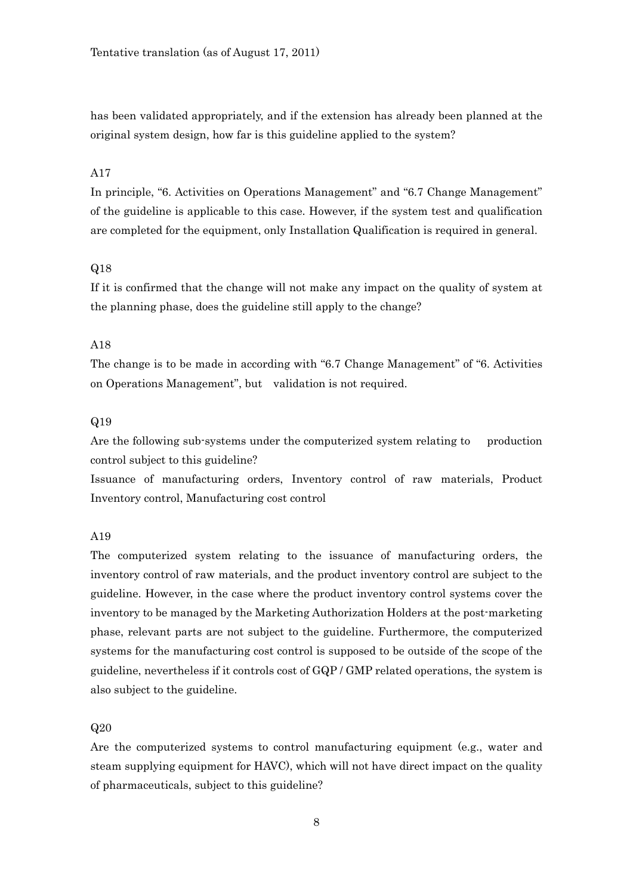has been validated appropriately, and if the extension has already been planned at the original system design, how far is this guideline applied to the system?

# A17

In principle, "6. Activities on Operations Management" and "6.7 Change Management" of the guideline is applicable to this case. However, if the system test and qualification are completed for the equipment, only Installation Qualification is required in general.

#### Q18

If it is confirmed that the change will not make any impact on the quality of system at the planning phase, does the guideline still apply to the change?

# A18

The change is to be made in according with "6.7 Change Management" of "6. Activities on Operations Management", but validation is not required.

#### Q19

Are the following sub-systems under the computerized system relating to production control subject to this guideline?

Issuance of manufacturing orders, Inventory control of raw materials, Product Inventory control, Manufacturing cost control

#### A19

The computerized system relating to the issuance of manufacturing orders, the inventory control of raw materials, and the product inventory control are subject to the guideline. However, in the case where the product inventory control systems cover the inventory to be managed by the Marketing Authorization Holders at the post-marketing phase, relevant parts are not subject to the guideline. Furthermore, the computerized systems for the manufacturing cost control is supposed to be outside of the scope of the guideline, nevertheless if it controls cost of GQP / GMP related operations, the system is also subject to the guideline.

### $Q20$

Are the computerized systems to control manufacturing equipment (e.g., water and steam supplying equipment for HAVC), which will not have direct impact on the quality of pharmaceuticals, subject to this guideline?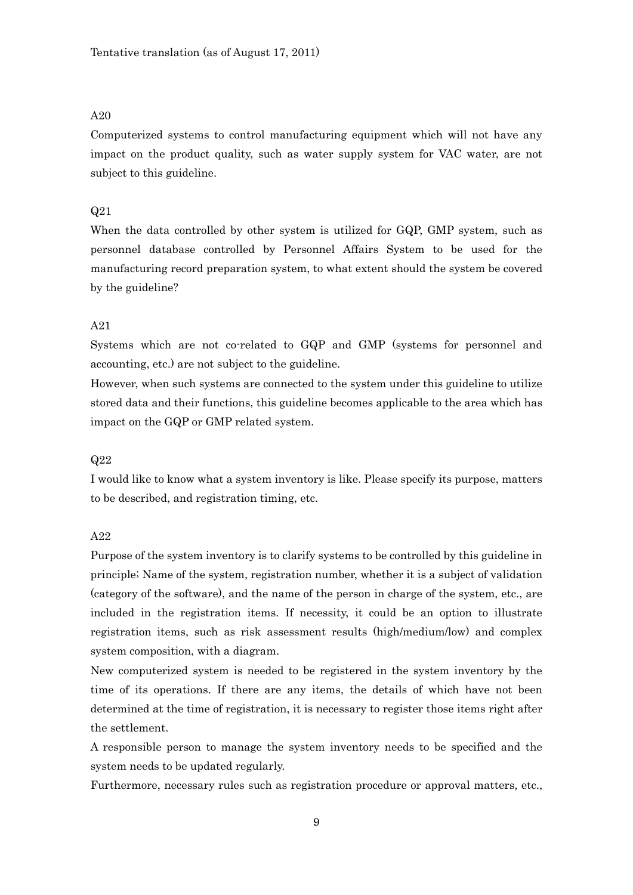Computerized systems to control manufacturing equipment which will not have any impact on the product quality, such as water supply system for VAC water, are not subject to this guideline.

### Q21

When the data controlled by other system is utilized for GQP, GMP system, such as personnel database controlled by Personnel Affairs System to be used for the manufacturing record preparation system, to what extent should the system be covered by the guideline?

### A21

Systems which are not co-related to GQP and GMP (systems for personnel and accounting, etc.) are not subject to the guideline.

However, when such systems are connected to the system under this guideline to utilize stored data and their functions, this guideline becomes applicable to the area which has impact on the GQP or GMP related system.

#### Q22

I would like to know what a system inventory is like. Please specify its purpose, matters to be described, and registration timing, etc.

#### A22

Purpose of the system inventory is to clarify systems to be controlled by this guideline in principle; Name of the system, registration number, whether it is a subject of validation (category of the software), and the name of the person in charge of the system, etc., are included in the registration items. If necessity, it could be an option to illustrate registration items, such as risk assessment results (high/medium/low) and complex system composition, with a diagram.

New computerized system is needed to be registered in the system inventory by the time of its operations. If there are any items, the details of which have not been determined at the time of registration, it is necessary to register those items right after the settlement.

A responsible person to manage the system inventory needs to be specified and the system needs to be updated regularly.

Furthermore, necessary rules such as registration procedure or approval matters, etc.,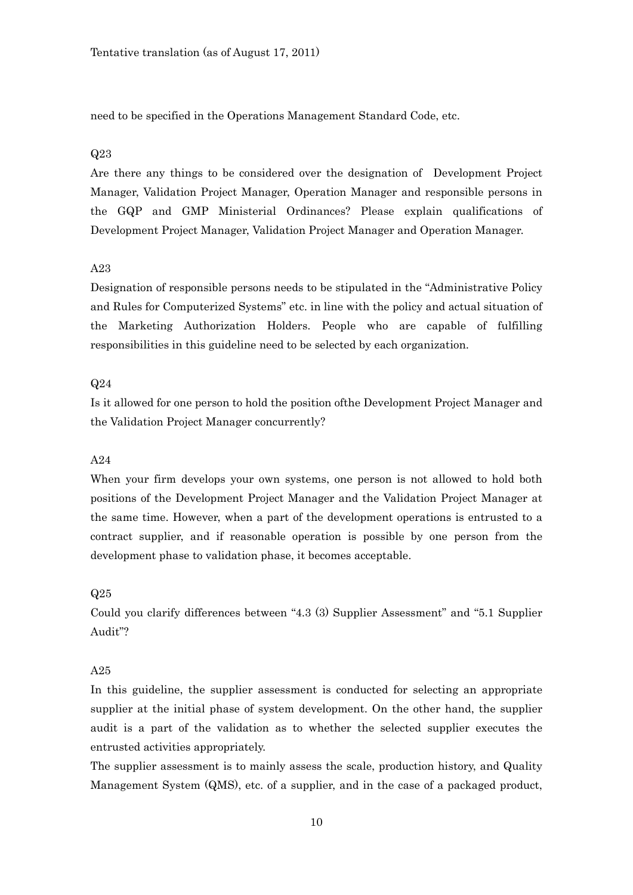need to be specified in the Operations Management Standard Code, etc.

#### Q23

Are there any things to be considered over the designation of Development Project Manager, Validation Project Manager, Operation Manager and responsible persons in the GQP and GMP Ministerial Ordinances? Please explain qualifications of Development Project Manager, Validation Project Manager and Operation Manager.

### A23

Designation of responsible persons needs to be stipulated in the "Administrative Policy and Rules for Computerized Systems" etc. in line with the policy and actual situation of the Marketing Authorization Holders. People who are capable of fulfilling responsibilities in this guideline need to be selected by each organization.

#### Q24

Is it allowed for one person to hold the position ofthe Development Project Manager and the Validation Project Manager concurrently?

# A24

When your firm develops your own systems, one person is not allowed to hold both positions of the Development Project Manager and the Validation Project Manager at the same time. However, when a part of the development operations is entrusted to a contract supplier, and if reasonable operation is possible by one person from the development phase to validation phase, it becomes acceptable.

#### Q25

Could you clarify differences between "4.3 (3) Supplier Assessment" and "5.1 Supplier Audit"?

#### A25

In this guideline, the supplier assessment is conducted for selecting an appropriate supplier at the initial phase of system development. On the other hand, the supplier audit is a part of the validation as to whether the selected supplier executes the entrusted activities appropriately.

The supplier assessment is to mainly assess the scale, production history, and Quality Management System (QMS), etc. of a supplier, and in the case of a packaged product,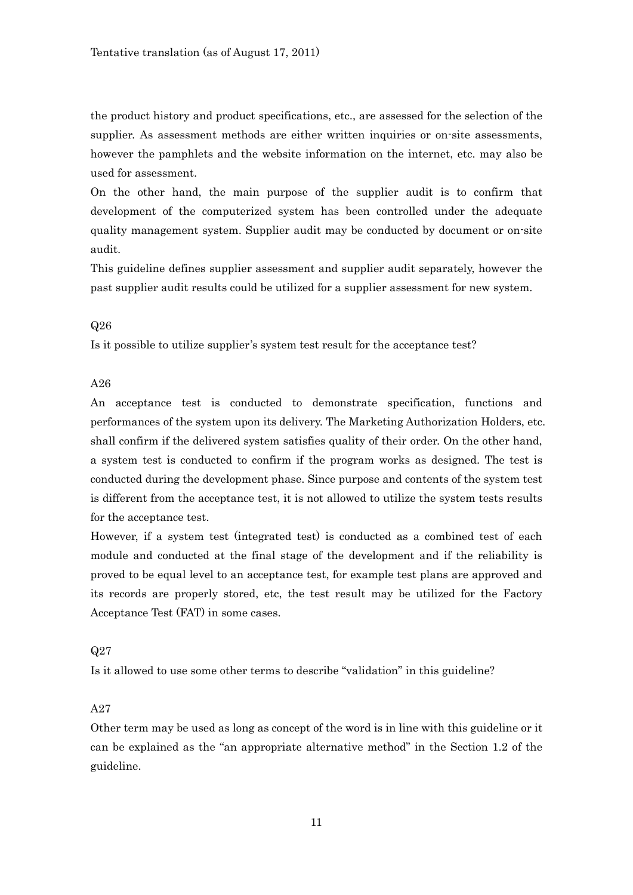the product history and product specifications, etc., are assessed for the selection of the supplier. As assessment methods are either written inquiries or on-site assessments, however the pamphlets and the website information on the internet, etc. may also be used for assessment.

On the other hand, the main purpose of the supplier audit is to confirm that development of the computerized system has been controlled under the adequate quality management system. Supplier audit may be conducted by document or on-site audit.

This guideline defines supplier assessment and supplier audit separately, however the past supplier audit results could be utilized for a supplier assessment for new system.

#### Q26

Is it possible to utilize supplier's system test result for the acceptance test?

### A26

An acceptance test is conducted to demonstrate specification, functions and performances of the system upon its delivery. The Marketing Authorization Holders, etc. shall confirm if the delivered system satisfies quality of their order. On the other hand, a system test is conducted to confirm if the program works as designed. The test is conducted during the development phase. Since purpose and contents of the system test is different from the acceptance test, it is not allowed to utilize the system tests results for the acceptance test.

However, if a system test (integrated test) is conducted as a combined test of each module and conducted at the final stage of the development and if the reliability is proved to be equal level to an acceptance test, for example test plans are approved and its records are properly stored, etc, the test result may be utilized for the Factory Acceptance Test (FAT) in some cases.

### Q27

Is it allowed to use some other terms to describe "validation" in this guideline?

# A27

Other term may be used as long as concept of the word is in line with this guideline or it can be explained as the "an appropriate alternative method" in the Section 1.2 of the guideline.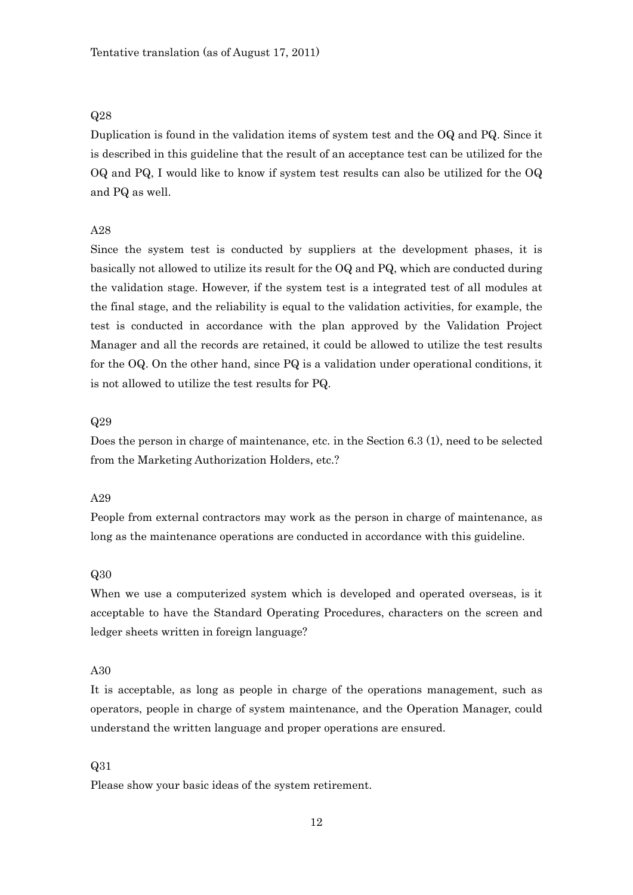Duplication is found in the validation items of system test and the OQ and PQ. Since it is described in this guideline that the result of an acceptance test can be utilized for the OQ and PQ, I would like to know if system test results can also be utilized for the OQ and PQ as well.

# A28

Since the system test is conducted by suppliers at the development phases, it is basically not allowed to utilize its result for the OQ and PQ, which are conducted during the validation stage. However, if the system test is a integrated test of all modules at the final stage, and the reliability is equal to the validation activities, for example, the test is conducted in accordance with the plan approved by the Validation Project Manager and all the records are retained, it could be allowed to utilize the test results for the OQ. On the other hand, since PQ is a validation under operational conditions, it is not allowed to utilize the test results for PQ.

#### Q29

Does the person in charge of maintenance, etc. in the Section 6.3 (1), need to be selected from the Marketing Authorization Holders, etc.?

#### A29

People from external contractors may work as the person in charge of maintenance, as long as the maintenance operations are conducted in accordance with this guideline.

#### Q30

When we use a computerized system which is developed and operated overseas, is it acceptable to have the Standard Operating Procedures, characters on the screen and ledger sheets written in foreign language?

#### A30

It is acceptable, as long as people in charge of the operations management, such as operators, people in charge of system maintenance, and the Operation Manager, could understand the written language and proper operations are ensured.

#### Q31

Please show your basic ideas of the system retirement.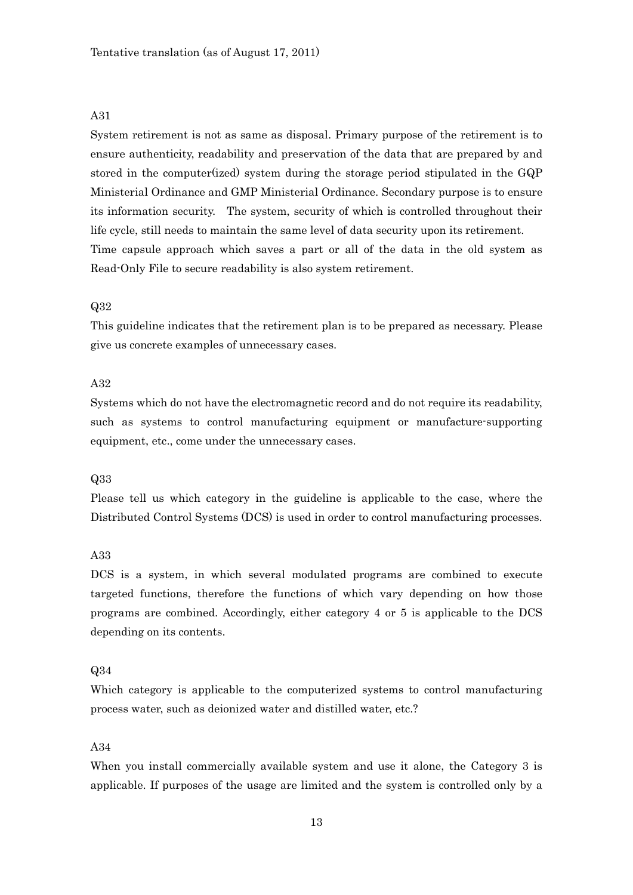System retirement is not as same as disposal. Primary purpose of the retirement is to ensure authenticity, readability and preservation of the data that are prepared by and stored in the computer(ized) system during the storage period stipulated in the GQP Ministerial Ordinance and GMP Ministerial Ordinance. Secondary purpose is to ensure its information security. The system, security of which is controlled throughout their life cycle, still needs to maintain the same level of data security upon its retirement. Time capsule approach which saves a part or all of the data in the old system as Read-Only File to secure readability is also system retirement.

### Q32

This guideline indicates that the retirement plan is to be prepared as necessary. Please give us concrete examples of unnecessary cases.

### A32

Systems which do not have the electromagnetic record and do not require its readability, such as systems to control manufacturing equipment or manufacture-supporting equipment, etc., come under the unnecessary cases.

#### Q33

Please tell us which category in the guideline is applicable to the case, where the Distributed Control Systems (DCS) is used in order to control manufacturing processes.

### A33

DCS is a system, in which several modulated programs are combined to execute targeted functions, therefore the functions of which vary depending on how those programs are combined. Accordingly, either category 4 or 5 is applicable to the DCS depending on its contents.

#### Q34

Which category is applicable to the computerized systems to control manufacturing process water, such as deionized water and distilled water, etc.?

# A34

When you install commercially available system and use it alone, the Category 3 is applicable. If purposes of the usage are limited and the system is controlled only by a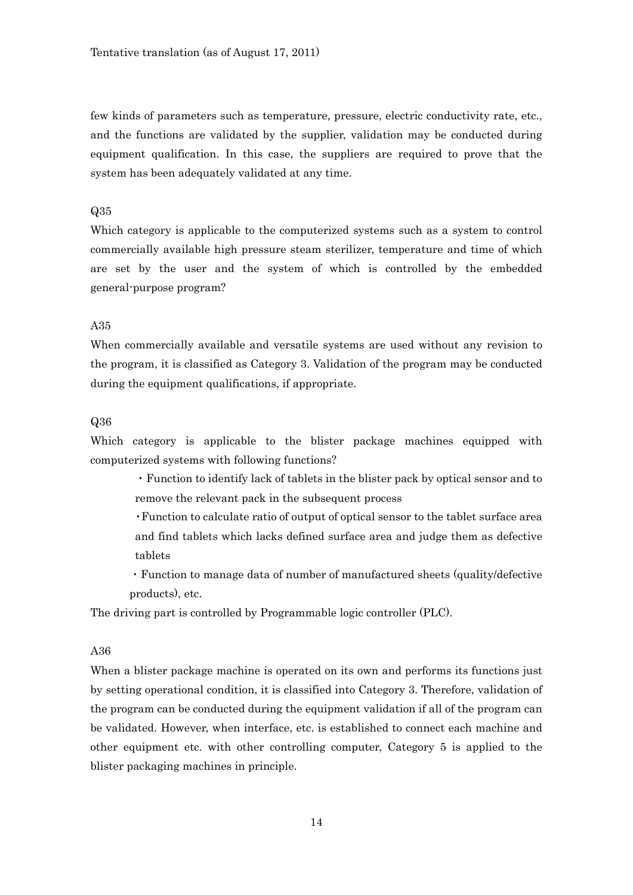few kinds of parameters such as temperature, pressure, electric conductivity rate, etc., and the functions are validated by the supplier, validation may be conducted during equipment qualification. In this case, the suppliers are required to prove that the system has been adequately validated at any time.

### Q35

Which category is applicable to the computerized systems such as a system to control commercially available high pressure steam sterilizer, temperature and time of which are set by the user and the system of which is controlled by the embedded general-purpose program?

# A35

When commercially available and versatile systems are used without any revision to the program, it is classified as Category 3. Validation of the program may be conducted during the equipment qualifications, if appropriate.

### Q36

Which category is applicable to the blister package machines equipped with computerized systems with following functions?

・Function to identify lack of tablets in the blister pack by optical sensor and to remove the relevant pack in the subsequent process

- ・Function to calculate ratio of output of optical sensor to the tablet surface area and find tablets which lacks defined surface area and judge them as defective tablets
- ・Function to manage data of number of manufactured sheets (quality/defective products), etc.

The driving part is controlled by Programmable logic controller (PLC).

### A36

When a blister package machine is operated on its own and performs its functions just by setting operational condition, it is classified into Category 3. Therefore, validation of the program can be conducted during the equipment validation if all of the program can be validated. However, when interface, etc. is established to connect each machine and other equipment etc. with other controlling computer, Category 5 is applied to the blister packaging machines in principle.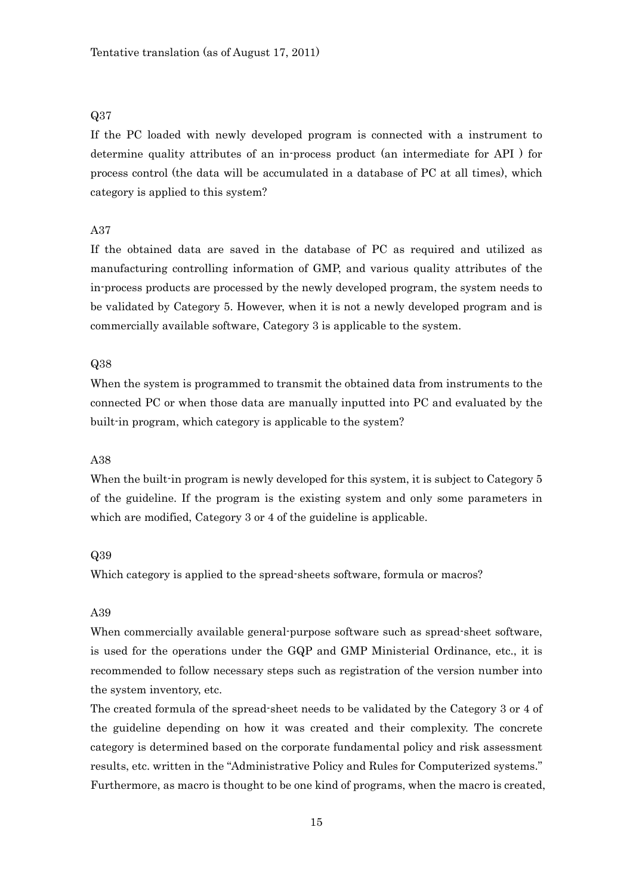If the PC loaded with newly developed program is connected with a instrument to determine quality attributes of an in-process product (an intermediate for API ) for process control (the data will be accumulated in a database of PC at all times), which category is applied to this system?

# A37

If the obtained data are saved in the database of PC as required and utilized as manufacturing controlling information of GMP, and various quality attributes of the in-process products are processed by the newly developed program, the system needs to be validated by Category 5. However, when it is not a newly developed program and is commercially available software, Category 3 is applicable to the system.

#### Q38

When the system is programmed to transmit the obtained data from instruments to the connected PC or when those data are manually inputted into PC and evaluated by the built-in program, which category is applicable to the system?

### A38

When the built-in program is newly developed for this system, it is subject to Category 5 of the guideline. If the program is the existing system and only some parameters in which are modified, Category 3 or 4 of the guideline is applicable.

# Q39

Which category is applied to the spread-sheets software, formula or macros?

# A39

When commercially available general-purpose software such as spread-sheet software, is used for the operations under the GQP and GMP Ministerial Ordinance, etc., it is recommended to follow necessary steps such as registration of the version number into the system inventory, etc.

The created formula of the spread-sheet needs to be validated by the Category 3 or 4 of the guideline depending on how it was created and their complexity. The concrete category is determined based on the corporate fundamental policy and risk assessment results, etc. written in the "Administrative Policy and Rules for Computerized systems." Furthermore, as macro is thought to be one kind of programs, when the macro is created,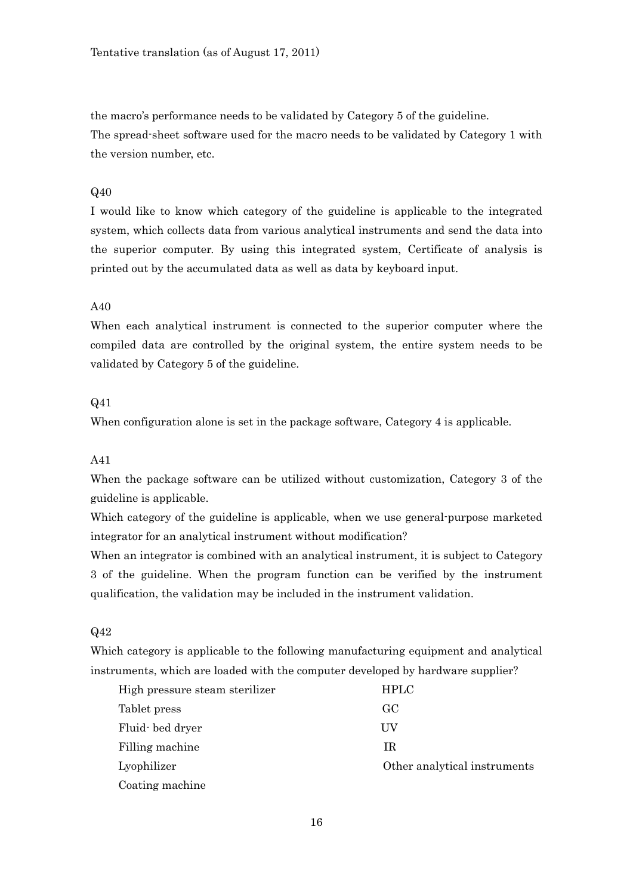the macro's performance needs to be validated by Category 5 of the guideline. The spread-sheet software used for the macro needs to be validated by Category 1 with the version number, etc.

# Q40

I would like to know which category of the guideline is applicable to the integrated system, which collects data from various analytical instruments and send the data into the superior computer. By using this integrated system, Certificate of analysis is printed out by the accumulated data as well as data by keyboard input.

# A40

When each analytical instrument is connected to the superior computer where the compiled data are controlled by the original system, the entire system needs to be validated by Category 5 of the guideline.

# Q41

When configuration alone is set in the package software, Category 4 is applicable.

# A41

When the package software can be utilized without customization, Category 3 of the guideline is applicable.

Which category of the guideline is applicable, when we use general-purpose marketed integrator for an analytical instrument without modification?

When an integrator is combined with an analytical instrument, it is subject to Category 3 of the guideline. When the program function can be verified by the instrument qualification, the validation may be included in the instrument validation.

# Q42

Which category is applicable to the following manufacturing equipment and analytical instruments, which are loaded with the computer developed by hardware supplier?

| High pressure steam sterilizer | <b>HPLC</b>                  |
|--------------------------------|------------------------------|
| Tablet press                   | GC.                          |
| Fluid bed dryer                | UV                           |
| Filling machine                | ΙR                           |
| Lyophilizer                    | Other analytical instruments |
| Coating machine                |                              |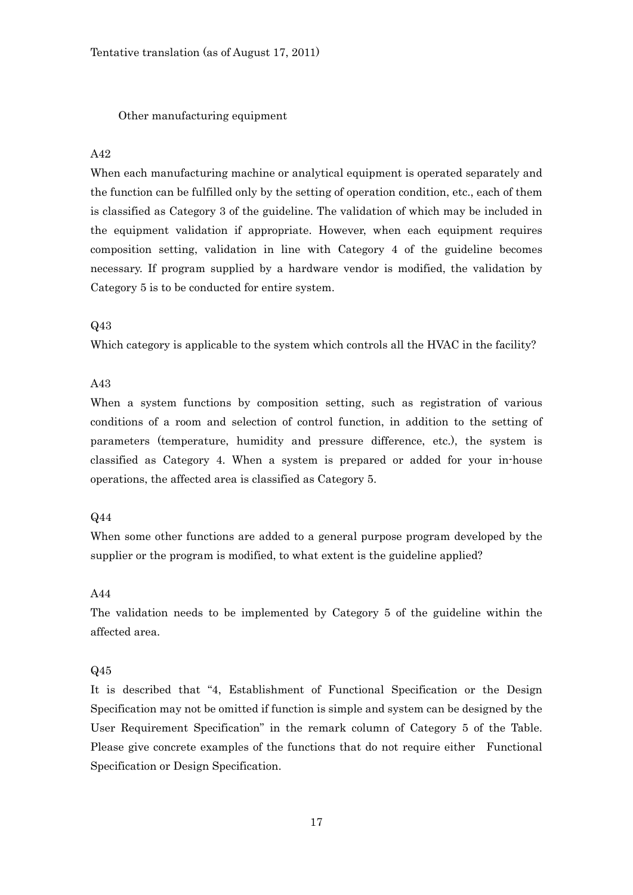Other manufacturing equipment

# A42

When each manufacturing machine or analytical equipment is operated separately and the function can be fulfilled only by the setting of operation condition, etc., each of them is classified as Category 3 of the guideline. The validation of which may be included in the equipment validation if appropriate. However, when each equipment requires composition setting, validation in line with Category 4 of the guideline becomes necessary. If program supplied by a hardware vendor is modified, the validation by Category 5 is to be conducted for entire system.

# Q43

Which category is applicable to the system which controls all the HVAC in the facility?

### A43

When a system functions by composition setting, such as registration of various conditions of a room and selection of control function, in addition to the setting of parameters (temperature, humidity and pressure difference, etc.), the system is classified as Category 4. When a system is prepared or added for your in-house operations, the affected area is classified as Category 5.

# Q44

When some other functions are added to a general purpose program developed by the supplier or the program is modified, to what extent is the guideline applied?

### A44

The validation needs to be implemented by Category 5 of the guideline within the affected area.

#### Q45

It is described that "4, Establishment of Functional Specification or the Design Specification may not be omitted if function is simple and system can be designed by the User Requirement Specification" in the remark column of Category 5 of the Table. Please give concrete examples of the functions that do not require either Functional Specification or Design Specification.